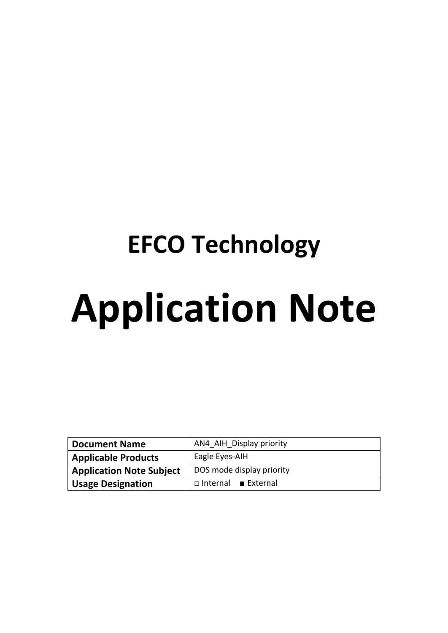# **EFCO Technology Application Note**

| <b>Document Name</b>            | AN4 AIH Display priority  |  |  |
|---------------------------------|---------------------------|--|--|
| <b>Applicable Products</b>      | Eagle Eyes-AIH            |  |  |
| <b>Application Note Subject</b> | DOS mode display priority |  |  |
| <b>Usage Designation</b>        | $\Box$ Internal External  |  |  |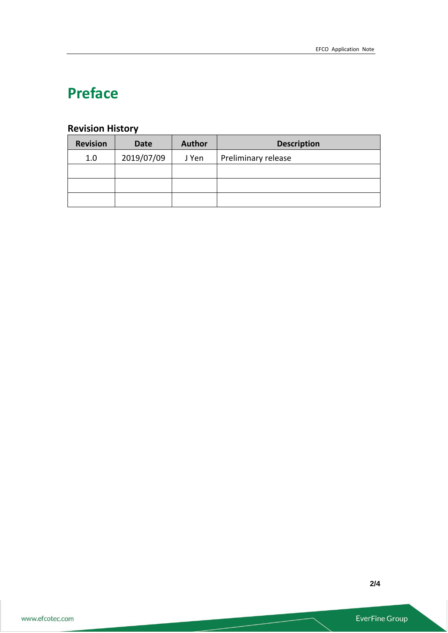# **Preface**

### **Revision History**

| <b>Revision</b> | <b>Date</b> | <b>Author</b> | <b>Description</b>  |
|-----------------|-------------|---------------|---------------------|
| 1.0             | 2019/07/09  | J Yen         | Preliminary release |
|                 |             |               |                     |
|                 |             |               |                     |
|                 |             |               |                     |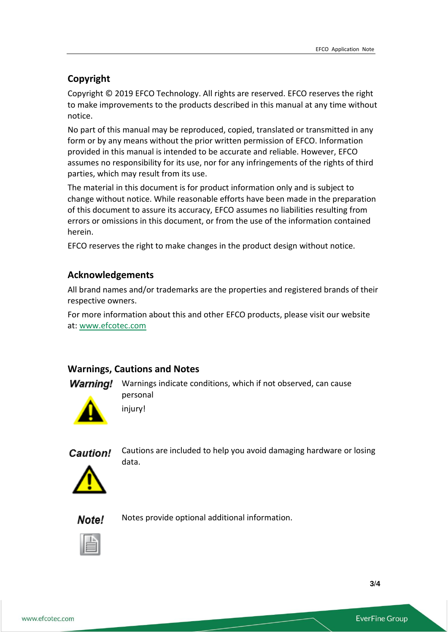#### **Copyright**

Copyright © 2019 EFCO Technology. All rights are reserved. EFCO reserves the right to make improvements to the products described in this manual at any time without notice.

No part of this manual may be reproduced, copied, translated or transmitted in any form or by any means without the prior written permission of EFCO. Information provided in this manual is intended to be accurate and reliable. However, EFCO assumes no responsibility for its use, nor for any infringements of the rights of third parties, which may result from its use.

The material in this document is for product information only and is subject to change without notice. While reasonable efforts have been made in the preparation of this document to assure its accuracy, EFCO assumes no liabilities resulting from errors or omissions in this document, or from the use of the information contained herein.

EFCO reserves the right to make changes in the product design without notice.

#### **Acknowledgements**

All brand names and/or trademarks are the properties and registered brands of their respective owners.

For more information about this and other EFCO products, please visit our website at: [www.efcotec.com](file:///C:/Users/PattyWu/Documents/Manual/DMCT/www.efcotec.com)

#### **Warnings, Cautions and Notes**

**Warning!** Warnings indicate conditions, which if not observed, can cause personal





Cautions are included to help you avoid damaging hardware or losing data.



Note! Notes provide optional additional information.



**3**/**4**